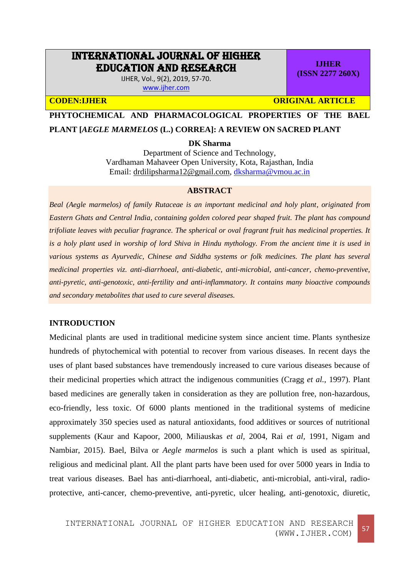# INTERNATIONAL JOURNAL OF HIGHER EDUCATION AND RESEARCH

IJHER, Vol., 9(2), 2019, 57-70. [www.ijher.com](http://www.ijher.com/)

**IJHER (ISSN 2277 260X)**

**CODEN:IJHER CODEN:IJHER** ORIGINAL ARTICLE

**PHYTOCHEMICAL AND PHARMACOLOGICAL PROPERTIES OF THE BAEL** 

# **PLANT [***AEGLE MARMELOS* **(L.) CORREA]: A REVIEW ON SACRED PLANT**

**DK Sharma**

Department of Science and Technology, Vardhaman Mahaveer Open University, Kota, Rajasthan, India Email: [drdilipsharma12@gmail.com,](mailto:drdilipsharma12@gmail.com) [dksharma@vmou.ac.in](mailto:dksharma@vmou.ac.in)

# **ABSTRACT**

*Beal (Aegle marmelos) of family Rutaceae is an important medicinal and holy plant, originated from Eastern Ghats and Central India, containing golden colored pear shaped fruit. The plant has compound trifoliate leaves with peculiar fragrance. The spherical or oval fragrant fruit has medicinal properties. It is a holy plant used in worship of lord Shiva in Hindu mythology. From the ancient time it is used in various systems as Ayurvedic, Chinese and Siddha systems or folk medicines. The plant has several medicinal properties viz. anti-diarrhoeal, anti-diabetic, anti-microbial, anti-cancer, chemo-preventive, anti-pyretic, anti-genotoxic, anti-fertility and anti-inflammatory. It contains many bioactive compounds and secondary metabolites that used to cure several diseases.* 

#### **INTRODUCTION**

Medicinal plants are used in [traditional medicine](https://en.wikipedia.org/wiki/Traditional_medicine) system since ancient time. [Plants](https://en.wikipedia.org/wiki/Plants) synthesize hundreds of phytochemical with potential to recover from various diseases. In recent days the uses of plant based substances have tremendously increased to cure various diseases because of their medicinal properties which attract the indigenous communities (Cragg *et al.*, 1997). Plant based medicines are generally taken in consideration as they are pollution free, non-hazardous, eco-friendly, less toxic. Of 6000 plants mentioned in the traditional systems of medicine approximately 350 species used as natural antioxidants, food additives or sources of nutritional supplements (Kaur and Kapoor, 2000, Miliauskas *et al,* 2004, Rai *et al,* 1991, Nigam and Nambiar, 2015). Bael, Bilva or *Aegle marmelos* is such a plant which is used as spiritual, religious and medicinal plant. All the plant parts have been used for over 5000 years in India to treat various diseases. Bael has anti-diarrhoeal, anti-diabetic, anti-microbial, anti-viral, radioprotective, anti-cancer, chemo-preventive, anti-pyretic, ulcer healing, anti-genotoxic, diuretic,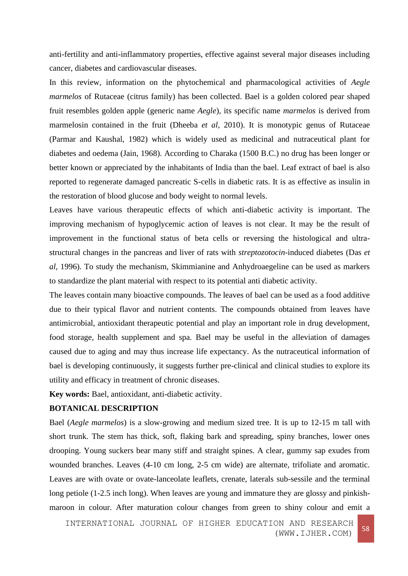anti-fertility and anti-inflammatory properties, effective against several major diseases including cancer, diabetes and cardiovascular diseases.

In this review, information on the phytochemical and pharmacological activities of *Aegle marmelos* of Rutaceae (citrus family) has been collected. Bael is a golden colored pear shaped fruit resembles golden apple (generic name *Aegle*), its specific name *marmelos* is derived from marmelosin contained in the fruit (Dheeba *et al,* 2010). It is monotypic genus of Rutaceae (Parmar and Kaushal, 1982) which is widely used as medicinal and nutraceutical plant for diabetes and oedema (Jain, 1968). According to Charaka (1500 B.C.) no drug has been longer or better known or appreciated by the inhabitants of India than the bael. Leaf extract of bael is also reported to regenerate damaged pancreatic S-cells in diabetic rats. It is as effective as insulin in the restoration of blood glucose and body weight to normal levels.

Leaves have various therapeutic effects of which anti-diabetic activity is important. The improving mechanism of hypoglycemic action of leaves is not clear. It may be the result of improvement in the functional status of beta cells or reversing the histological and ultrastructural changes in the pancreas and liver of rats with *streptozotocin*-induced diabetes (Das *et al,* 1996). To study the mechanism, Skimmianine and Anhydroaegeline can be used as markers to standardize the plant material with respect to its potential anti diabetic activity.

The leaves contain many bioactive compounds. The leaves of bael can be used as a food additive due to their typical flavor and nutrient contents. The compounds obtained from leaves have antimicrobial, antioxidant therapeutic potential and play an important role in drug development, food storage, health supplement and spa. Bael may be useful in the alleviation of damages caused due to aging and may thus increase life expectancy. As the nutraceutical information of bael is developing continuously, it suggests further pre-clinical and clinical studies to explore its utility and efficacy in treatment of chronic diseases.

**Key words:** Bael, antioxidant, anti-diabetic activity.

# **BOTANICAL DESCRIPTION**

Bael (*Aegle marmelos*) is a slow-growing and medium sized tree. It is up to 12-15 m tall with short trunk. The stem has thick, soft, flaking bark and spreading, spiny branches, lower ones drooping. Young suckers bear many stiff and straight spines. A clear, gummy sap exudes from wounded branches. Leaves (4-10 cm long, 2-5 cm wide) are alternate, trifoliate and aromatic. Leaves are with ovate or ovate-lanceolate leaflets, crenate, laterals sub-sessile and the terminal long petiole (1-2.5 inch long). When leaves are young and immature they are glossy and pinkishmaroon in colour. After maturation colour changes from green to shiny colour and emit a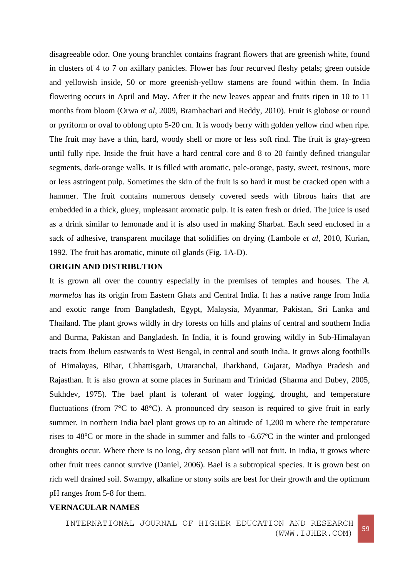disagreeable odor. One young branchlet contains fragrant flowers that are greenish white, found in clusters of 4 to 7 on axillary panicles. Flower has four recurved fleshy petals; green outside and yellowish inside, 50 or more greenish-yellow stamens are found within them. In India flowering occurs in April and May. After it the new leaves appear and fruits ripen in 10 to 11 months from bloom (Orwa *et al*, 2009, Bramhachari and Reddy, 2010). Fruit is globose or round or pyriform or oval to oblong upto 5-20 cm. It is woody berry with golden yellow rind when ripe. The fruit may have a thin, hard, woody shell or more or less soft rind. The fruit is gray-green until fully ripe. Inside the fruit have a hard central core and 8 to 20 faintly defined triangular segments, dark-orange walls. It is filled with aromatic, pale-orange, pasty, sweet, resinous, more or less astringent pulp. Sometimes the skin of the fruit is so hard it must be cracked open with a hammer. The fruit contains numerous densely covered seeds with fibrous hairs that are embedded in a thick, gluey, unpleasant aromatic pulp. It is eaten fresh or dried. The juice is used as a drink similar to lemonade and it is also used in making Sharbat. Each seed enclosed in a sack of adhesive, transparent mucilage that solidifies on drying (Lambole *et al*, 2010, Kurian, 1992. The fruit has aromatic, minute oil glands (Fig. 1A-D).

#### **ORIGIN AND DISTRIBUTION**

It is grown all over the country especially in the premises of temples and houses. The *A. marmelos* has its origin from Eastern Ghats and Central India. It has a native range from India and exotic range from Bangladesh, Egypt, Malaysia, Myanmar, Pakistan, Sri Lanka and Thailand. The plant grows wildly in dry forests on hills and plains of central and southern India and Burma, Pakistan and Bangladesh. In India, it is found growing wildly in Sub-Himalayan tracts from Jhelum eastwards to West Bengal, in central and south India. It grows along foothills of Himalayas, Bihar, Chhattisgarh, Uttaranchal, Jharkhand, Gujarat, Madhya Pradesh and Rajasthan. It is also grown at some places in Surinam and Trinidad (Sharma and Dubey, 2005, Sukhdev, 1975). The bael plant is tolerant of water logging, drought, and temperature fluctuations (from 7°C to 48°C). A pronounced dry season is required to give fruit in early summer. In northern India bael plant grows up to an altitude of 1,200 m where the temperature rises to  $48^{\circ}$ C or more in the shade in summer and falls to -6.67 $^{\circ}$ C in the winter and prolonged droughts occur. Where there is no long, dry season plant will not fruit. In India, it grows where other fruit trees cannot survive (Daniel, 2006). Bael is a subtropical species. It is grown best on rich well drained soil. Swampy, alkaline or stony soils are best for their growth and the optimum pH ranges from 5-8 for them.

# **VERNACULAR NAMES**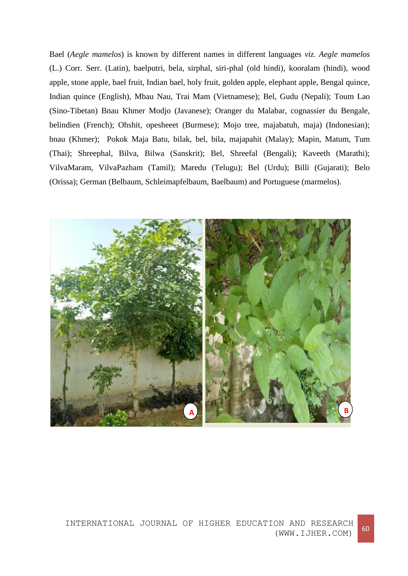Bael (*Aegle mamelos*) is known by different names in different languages *viz. Aegle mamelos* (L.) Corr. Serr. (Latin), baelputri, bela, sirphal, siri-phal (old hindi), kooralam (hindi), wood apple, stone apple, bael fruit, Indian bael, holy fruit, golden apple, elephant apple, Bengal quince, Indian quince (English), Mbau Nau, Trai Mam (Vietnamese); Bel, Gudu (Nepali); Toum Lao (Sino-Tibetan) Bnau Khmer Modjo (Javanese); Oranger du Malabar, cognassier du Bengale, belindien (French); Ohshit, opesheeet (Burmese); Mojo tree, majabatuh, maja) (Indonesian); bnau (Khmer); Pokok Maja Batu, bilak, bel, bila, majapahit (Malay); Mapin, Matum, Tum (Thai); Shreephal, Bilva, Bilwa (Sanskrit); Bel, Shreefal (Bengali); Kaveeth (Marathi); VilvaMaram, VilvaPazham (Tamil); Maredu (Telugu); Bel (Urdu); Billi (Gujarati); Belo (Orissa); German (Belbaum, Schleimapfelbaum, Baelbaum) and Portuguese (marmelos).

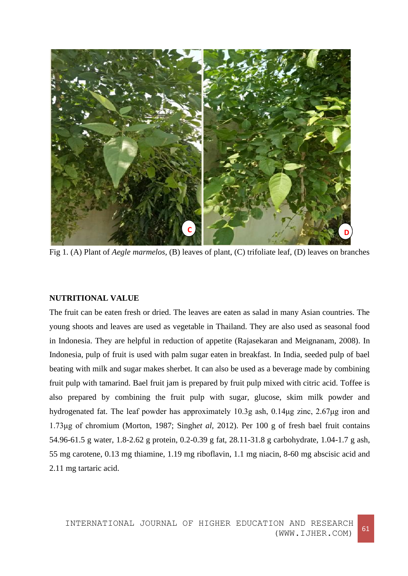

Fig 1. (A) Plant of *Aegle marmelos*, (B) leaves of plant, (C) trifoliate leaf, (D) leaves on branches

# **NUTRITIONAL VALUE**

The fruit can be eaten fresh or dried. The leaves are eaten as salad in many Asian countries. The young shoots and leaves are used as vegetable in Thailand. They are also used as seasonal food in Indonesia. They are helpful in reduction of appetite (Rajasekaran and Meignanam, 2008). In Indonesia, pulp of fruit is used with palm sugar eaten in breakfast. In India, seeded pulp of bael beating with milk and sugar makes sherbet. It can also be used as a beverage made by combining fruit pulp with tamarind. Bael fruit jam is prepared by fruit pulp mixed with citric acid. Toffee is also prepared by combining the fruit pulp with sugar, glucose, skim milk powder and hydrogenated fat. The leaf powder has approximately 10.3g ash, 0.14μg zinc, 2.67μg iron and 1.73μg of chromium (Morton, 1987; Singh*et al,* 2012). Per 100 g of fresh bael fruit contains 54.96-61.5 g water, 1.8-2.62 g protein, 0.2-0.39 g fat, 28.11-31.8 g carbohydrate, 1.04-1.7 g ash, 55 mg carotene, 0.13 mg thiamine, 1.19 mg riboflavin, 1.1 mg niacin, 8-60 mg abscisic acid and 2.11 mg tartaric acid.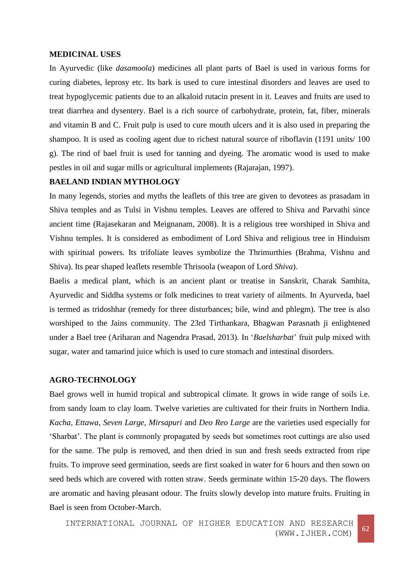#### **MEDICINAL USES**

In Ayurvedic (like *dasamoola*) medicines all plant parts of Bael is used in various forms for curing diabetes, leprosy etc. Its bark is used to cure intestinal disorders and leaves are used to treat hypoglycemic patients due to an alkaloid rutacin present in it. Leaves and fruits are used to treat diarrhea and dysentery. Bael is a rich source of carbohydrate, protein, fat, fiber, minerals and vitamin B and C. Fruit pulp is used to cure mouth ulcers and it is also used in preparing the shampoo. It is used as cooling agent due to richest natural source of riboflavin (1191 units/ 100 g). The rind of bael fruit is used for tanning and dyeing. The aromatic wood is used to make pestles in oil and sugar mills or agricultural implements (Rajarajan, 1997).

# **BAELAND INDIAN MYTHOLOGY**

In many legends, stories and myths the leaflets of this tree are given to devotees as prasadam in Shiva temples and as Tulsi in Vishnu temples. Leaves are offered to Shiva and Parvathi since ancient time (Rajasekaran and Meignanam, 2008). It is a religious tree worshiped in Shiva and Vishnu temples. It is considered as embodiment of Lord Shiva and religious tree in Hinduism with spiritual powers. Its trifoliate leaves symbolize the Thrimurthies (Brahma, Vishnu and Shiva). Its pear shaped leaflets resemble Thrisoola (weapon of Lord *Shiva*).

Baelis a medical plant, which is an ancient plant or treatise in Sanskrit, Charak Samhita, Ayurvedic and Siddha systems or folk medicines to treat variety of ailments. In Ayurveda, bael is termed as tridoshhar (remedy for three disturbances; bile, wind and phlegm). The tree is also worshiped to the Jains community. The 23rd Tirthankara, Bhagwan Parasnath ji enlightened under a Bael tree (Ariharan and Nagendra Prasad, 2013). In '*Baelsharbat*' fruit pulp mixed with sugar, water and tamarind juice which is used to cure stomach and intestinal disorders.

#### **AGRO-TECHNOLOGY**

Bael grows well in humid tropical and subtropical climate. It grows in wide range of soils i.e. from sandy loam to clay loam. Twelve varieties are cultivated for their fruits in Northern India. *Kacha, Ettawa, Seven Large, Mirsapuri* and *Deo Reo Large* are the varieties used especially for 'Sharbat'. The plant is commonly propagated by seeds but sometimes root cuttings are also used for the same. The pulp is removed, and then dried in sun and fresh seeds extracted from ripe fruits. To improve seed germination, seeds are first soaked in water for 6 hours and then sown on seed beds which are covered with rotten straw. Seeds germinate within 15-20 days. The flowers are aromatic and having pleasant odour. The fruits slowly develop into mature fruits. Fruiting in Bael is seen from October-March.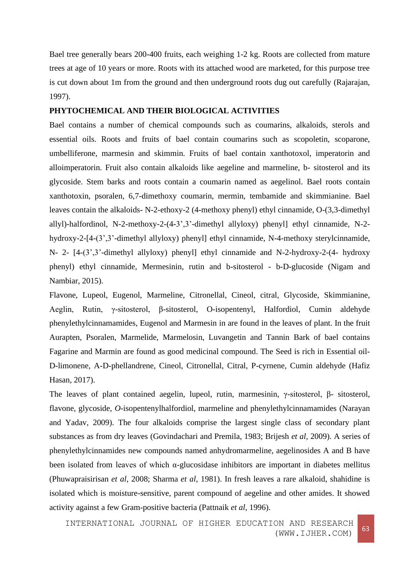Bael tree generally bears 200-400 fruits, each weighing 1-2 kg. Roots are collected from mature trees at age of 10 years or more. Roots with its attached wood are marketed, for this purpose tree is cut down about 1m from the ground and then underground roots dug out carefully (Rajarajan, 1997).

# **PHYTOCHEMICAL AND THEIR BIOLOGICAL ACTIVITIES**

Bael contains a number of chemical compounds such as coumarins, alkaloids, sterols and essential oils. Roots and fruits of bael contain coumarins such as scopoletin, scoparone, umbelliferone, marmesin and skimmin. Fruits of bael contain xanthotoxol, imperatorin and alloimperatorin. Fruit also contain alkaloids like aegeline and marmeline, b- sitosterol and its glycoside. Stem barks and roots contain a coumarin named as aegelinol. Bael roots contain xanthotoxin, psoralen, 6,7-dimethoxy coumarin, mermin, tembamide and skimmianine. Bael leaves contain the alkaloids- N-2-ethoxy-2 (4-methoxy phenyl) ethyl cinnamide, O-(3,3-dimethyl allyl)-halfordinol, N-2-methoxy-2-(4-3',3'-dimethyl allyloxy) phenyl] ethyl cinnamide, N-2 hydroxy-2-[4-(3',3'-dimethyl allyloxy) phenyl] ethyl cinnamide, N-4-methoxy sterylcinnamide, N- 2- [4-(3',3'-dimethyl allyloxy) phenyl] ethyl cinnamide and N-2-hydroxy-2-(4- hydroxy phenyl) ethyl cinnamide, Mermesinin, rutin and b-sitosterol - b-D-glucoside (Nigam and Nambiar, 2015).

Flavone, Lupeol, Eugenol, Marmeline, Citronellal, Cineol, citral, Glycoside, Skimmianine, Aeglin, Rutin, γ-sitosterol, β-sitosterol, O-isopentenyl, Halfordiol, Cumin aldehyde phenylethylcinnamamides, Eugenol and Marmesin in are found in the leaves of plant. In the fruit Aurapten, Psoralen, Marmelide, Marmelosin, Luvangetin and Tannin Bark of bael contains Fagarine and Marmin are found as good medicinal compound. The Seed is rich in Essential oil-D-limonene, A-D-phellandrene, Cineol, Citronellal, Citral, P-cyrnene, Cumin aldehyde (Hafiz Hasan, 2017).

The leaves of plant contained aegelin, lupeol, rutin, marmesinin, γ-sitosterol, β- sitosterol, flavone, glycoside, *O-*isopentenylhalfordiol, marmeline and phenylethylcinnamamides (Narayan and Yadav, 2009). The four alkaloids comprise the largest single class of secondary plant substances as from dry leaves (Govindachari and Premila, 1983; Brijesh *et al,* 2009). A series of phenylethylcinnamides new compounds named anhydromarmeline, aegelinosides A and B have been isolated from leaves of which α-glucosidase inhibitors are important in diabetes mellitus (Phuwapraisirisan *et al,* 2008; Sharma *et al,* 1981). In fresh leaves a rare alkaloid, shahidine is isolated which is moisture-sensitive, parent compound of aegeline and other amides. It showed activity against a few Gram-positive bacteria (Pattnaik *et al,* 1996).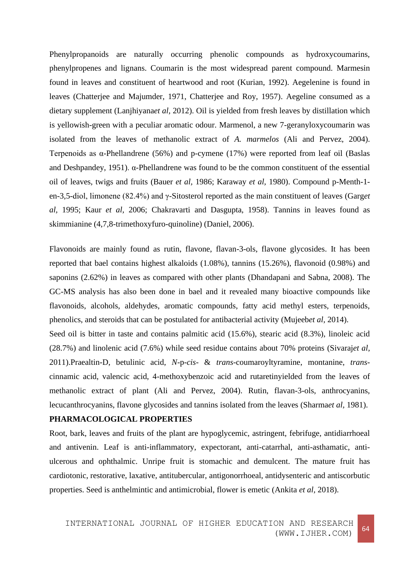Phenylpropanoids are naturally occurring phenolic compounds as hydroxycoumarins, phenylpropenes and lignans. Coumarin is the most widespread parent compound. Marmesin found in leaves and constituent of heartwood and root (Kurian, 1992). Aegelenine is found in leaves (Chatterjee and Majumder, 1971, Chatterjee and Roy, 1957). Aegeline consumed as a dietary supplement (Lanjhiyana*et al,* 2012). Oil is yielded from fresh leaves by distillation which is yellowish-green with a peculiar aromatic odour. Marmenol, a new 7-geranyloxycoumarin was isolated from the leaves of methanolic extract of *A. marmelos* (Ali and Pervez, 2004). Terpenoids as α-Phellandrene (56%) and p-cymene (17%) were reported from leaf oil (Baslas and Deshpandey, 1951).  $\alpha$ -Phellandrene was found to be the common constituent of the essential oil of leaves, twigs and fruits (Bauer *et al,* 1986; Karaway *et al,* 1980). Compound p-Menth-1 en-3,5-diol, limonene (82.4%) and γ-Sitosterol reported as the main constituent of leaves (Garg*et al,* 1995; Kaur *et al,* 2006; Chakravarti and Dasgupta, 1958). Tannins in leaves found as skimmianine (4,7,8-trimethoxyfuro-quinoline) (Daniel, 2006).

Flavonoids are mainly found as rutin, flavone, flavan-3-ols, flavone glycosides. It has been reported that bael contains highest alkaloids (1.08%), tannins (15.26%), flavonoid (0.98%) and saponins (2.62%) in leaves as compared with other plants (Dhandapani and Sabna, 2008). The GC-MS analysis has also been done in bael and it revealed many bioactive compounds like flavonoids, alcohols, aldehydes, aromatic compounds, fatty acid methyl esters, terpenoids, phenolics, and steroids that can be postulated for antibacterial activity (Mujeeb*et al,* 2014).

Seed oil is bitter in taste and contains palmitic acid (15.6%), stearic acid (8.3%), linoleic acid (28.7%) and linolenic acid (7.6%) while seed residue contains about 70% proteins (Sivaraj*et al,* 2011).Praealtin-D, betulinic acid, *N*-p-*cis*- & *trans-*coumaroyltyramine, montanine, *trans*cinnamic acid, valencic acid, 4-methoxybenzoic acid and rutaretinyielded from the leaves of methanolic extract of plant (Ali and Pervez, 2004). Rutin, flavan-3-ols, anthrocyanins, lecucanthrocyanins, flavone glycosides and tannins isolated from the leaves (Sharma*et al,* 1981).

## **PHARMACOLOGICAL PROPERTIES**

Root, bark, leaves and fruits of the plant are hypoglycemic, astringent, febrifuge, antidiarrhoeal and antivenin. Leaf is anti-inflammatory, expectorant, anti-catarrhal, anti-asthamatic, antiulcerous and ophthalmic. Unripe fruit is stomachic and demulcent. The mature fruit has cardiotonic, restorative, laxative, antitubercular, antigonorrhoeal, antidysenteric and antiscorbutic properties. Seed is anthelmintic and antimicrobial, flower is emetic (Ankita *et al,* 2018).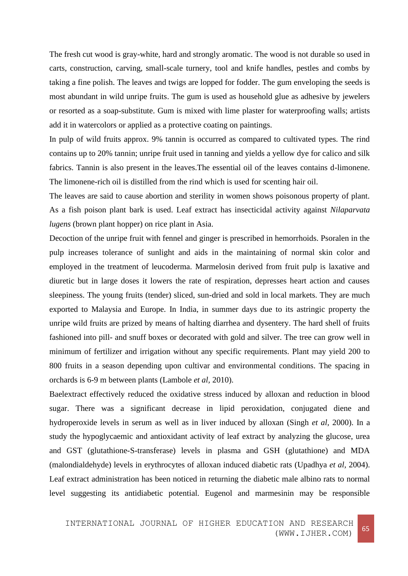The fresh cut wood is gray-white, hard and strongly aromatic. The wood is not durable so used in carts, construction, carving, small-scale turnery, tool and knife handles, pestles and combs by taking a fine polish. The leaves and twigs are lopped for fodder. The gum enveloping the seeds is most abundant in wild unripe fruits. The gum is used as household glue as adhesive by jewelers or resorted as a soap-substitute. Gum is mixed with lime plaster for waterproofing walls; artists add it in watercolors or applied as a protective coating on paintings.

In pulp of wild fruits approx. 9% tannin is occurred as compared to cultivated types. The rind contains up to 20% tannin; unripe fruit used in tanning and yields a yellow dye for calico and silk fabrics. Tannin is also present in the leaves.The essential oil of the leaves contains d-limonene. The limonene-rich oil is distilled from the rind which is used for scenting hair oil.

The leaves are said to cause abortion and sterility in women shows poisonous property of plant. As a fish poison plant bark is used. Leaf extract has insecticidal activity against *Nilaparvata lugens* (brown plant hopper) on rice plant in Asia.

Decoction of the unripe fruit with fennel and ginger is prescribed in hemorrhoids. Psoralen in the pulp increases tolerance of sunlight and aids in the maintaining of normal skin color and employed in the treatment of leucoderma. Marmelosin derived from fruit pulp is laxative and diuretic but in large doses it lowers the rate of respiration, depresses heart action and causes sleepiness. The young fruits (tender) sliced, sun-dried and sold in local markets. They are much exported to Malaysia and Europe. In India, in summer days due to its astringic property the unripe wild fruits are prized by means of halting diarrhea and dysentery. The hard shell of fruits fashioned into pill- and snuff boxes or decorated with gold and silver. The tree can grow well in minimum of fertilizer and irrigation without any specific requirements. Plant may yield 200 to 800 fruits in a season depending upon cultivar and environmental conditions. The spacing in orchards is 6-9 m between plants (Lambole *et al,* 2010).

Baelextract effectively reduced the oxidative stress induced by alloxan and reduction in blood sugar. There was a significant decrease in lipid peroxidation, conjugated diene and hydroperoxide levels in serum as well as in liver induced by alloxan (Singh *et al,* 2000). In a study the hypoglycaemic and antioxidant activity of leaf extract by analyzing the glucose, urea and GST (glutathione-S-transferase) levels in plasma and GSH (glutathione) and MDA (malondialdehyde) levels in erythrocytes of alloxan induced diabetic rats (Upadhya *et al,* 2004). Leaf extract administration has been noticed in returning the diabetic male albino rats to normal level suggesting its antidiabetic potential. Eugenol and marmesinin may be responsible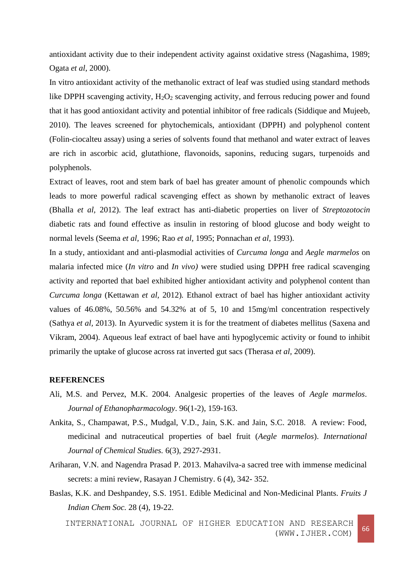antioxidant activity due to their independent activity against oxidative stress (Nagashima, 1989; Ogata *et al*, 2000).

In vitro antioxidant activity of the methanolic extract of leaf was studied using standard methods like DPPH scavenging activity,  $H_2O_2$  scavenging activity, and ferrous reducing power and found that it has good antioxidant activity and potential inhibitor of free radicals (Siddique and Mujeeb, 2010). The leaves screened for phytochemicals, antioxidant (DPPH) and polyphenol content (Folin-ciocalteu assay) using a series of solvents found that methanol and water extract of leaves are rich in ascorbic acid, glutathione, flavonoids, saponins, reducing sugars, turpenoids and polyphenols.

Extract of leaves, root and stem bark of bael has greater amount of phenolic compounds which leads to more powerful radical scavenging effect as shown by methanolic extract of leaves (Bhalla *et al,* 2012). The leaf extract has anti-diabetic properties on liver of *Streptozotocin* diabetic rats and found effective as insulin in restoring of blood glucose and body weight to normal levels (Seema *et al,* 1996; Rao *et al,* 1995; Ponnachan *et al,* 1993).

In a study, antioxidant and anti-plasmodial activities of *Curcuma longa* and *Aegle marmelos* on malaria infected mice (*In vitro* and *In vivo)* were studied using DPPH free radical scavenging activity and reported that bael exhibited higher antioxidant activity and polyphenol content than *Curcuma longa* (Kettawan *et al,* 2012)*.* Ethanol extract of bael has higher antioxidant activity values of 46.08%, 50.56% and 54.32% at of 5, 10 and 15mg/ml concentration respectively (Sathya *et al,* 2013). In Ayurvedic system it is for the treatment of diabetes mellitus (Saxena and Vikram, 2004). Aqueous leaf extract of bael have anti hypoglycemic activity or found to inhibit primarily the uptake of glucose across rat inverted gut sacs (Therasa *et al,* 2009).

# **REFERENCES**

- Ali, M.S. and Pervez, M.K. 2004. Analgesic properties of the leaves of *Aegle marmelos*. *Journal of Ethanopharmacology*. 96(1-2), 159-163.
- Ankita, S., Champawat, P.S., Mudgal, V.D., Jain, S.K. and Jain, S.C. 2018. A review: Food, medicinal and nutraceutical properties of bael fruit (*Aegle marmelos*). *International Journal of Chemical Studies.* 6(3), 2927-2931.
- Ariharan, V.N. and Nagendra Prasad P. 2013. Mahavilva-a sacred tree with immense medicinal secrets: a mini review, Rasayan J Chemistry. 6 (4), 342- 352.
- Baslas, K.K. and Deshpandey, S.S. 1951. Edible Medicinal and Non-Medicinal Plants. *Fruits J Indian Chem Soc.* 28 (4), 19-22.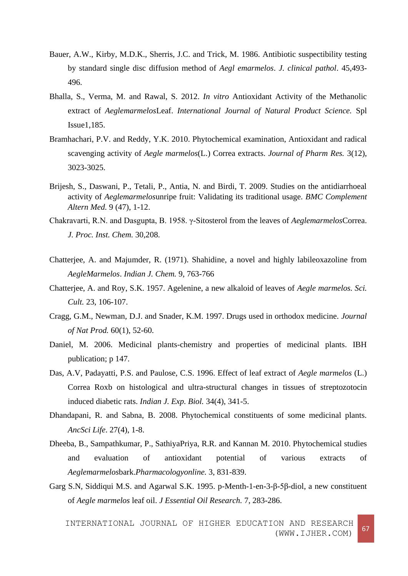- Bauer, A.W., Kirby, M.D.K., Sherris, J.C. and Trick, M. 1986. Antibiotic suspectibility testing by standard single disc diffusion method of *Aegl emarmelos*. *J. clinical pathol*. 45,493- 496.
- Bhalla, S., Verma, M. and Rawal, S. 2012. *In vitro* Antioxidant Activity of the Methanolic extract of *Aeglemarmelos*Leaf. *International Journal of Natural Product Science.* Spl Issue1,185.
- Bramhachari, P.V. and Reddy, Y.K. 2010. Phytochemical examination, Antioxidant and radical scavenging activity of *Aegle marmelos*(L.) Correa extracts. *Journal of Pharm Res.* 3(12), 3023-3025.
- Brijesh, S., Daswani, P., Tetali, P., Antia, N. and Birdi, T. 2009. Studies on the antidiarrhoeal activity of *Aeglemarmelos*unripe fruit: Validating its traditional usage. *[BMC Complement](https://www.ncbi.nlm.nih.gov/pmc/articles/PMC2788518/)  [Altern Med.](https://www.ncbi.nlm.nih.gov/pmc/articles/PMC2788518/)* 9 (47), 1-12.
- Chakravarti, R.N. and Dasgupta, B. 1958. γ-Sitosterol from the leaves of *Aeglemarmelos*Correa. *J. Proc. Inst. Chem.* 30,208.
- Chatterjee, A. and Majumder, R. (1971). Shahidine, a novel and highly labileoxazoline from *AegleMarmelos*. *Indian J. Chem.* 9, 763-766
- Chatterjee, A. and Roy, S.K. 1957. Agelenine, a new alkaloid of leaves of *Aegle marmelos. Sci. Cult.* 23, 106-107.
- Cragg, G.M., Newman, D.J. and Snader, K.M. 1997. Drugs used in orthodox medicine. *[Journal](https://www.ncbi.nlm.nih.gov/pubmed/9014353)  [of Nat Prod.](https://www.ncbi.nlm.nih.gov/pubmed/9014353)* 60(1), 52-60.
- Daniel, M. 2006. Medicinal plants-chemistry and properties of medicinal plants. IBH publication; p 147.
- Das, A.V, Padayatti, P.S. and Paulose, C.S. 1996. Effect of leaf extract of *Aegle marmelos* (L.) Correa Roxb on histological and ultra-structural changes in tissues of streptozotocin induced diabetic rats. *Indian J. Exp. Biol.* 34(4), 341-5.
- Dhandapani, R. and Sabna, B. 2008. Phytochemical constituents of some medicinal plants. *AncSci Life*. 27(4), 1-8.
- Dheeba, B., Sampathkumar, P., SathiyaPriya, R.R. and Kannan M. 2010. Phytochemical studies and evaluation of antioxidant potential of various extracts of *Aeglemarmelos*bark.*Pharmacologyonline.* 3, 831-839.
- Garg S.N, Siddiqui M.S. and Agarwal S.K. 1995. p-Menth-1-en-3-β-5β-diol, a new constituent of *Aegle marmelos* leaf oil. *J Essential Oil Research.* 7, 283-286.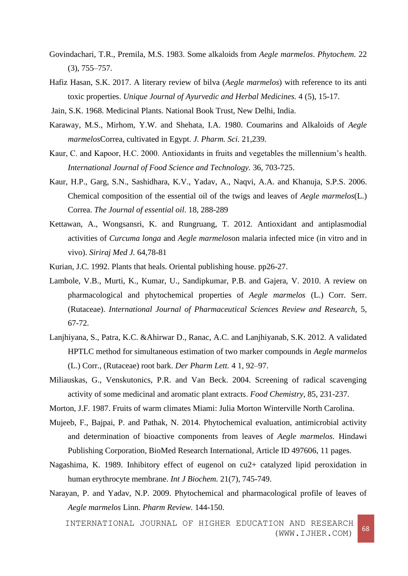- Govindachari, T.R., Premila, M.S. 1983. Some alkaloids from *Aegle marmelos*. *Phytochem.* 22 (3), 755–757.
- Hafiz Hasan, S.K. 2017. A literary review of bilva (*Aegle marmelos*) with reference to its anti toxic properties. *Unique Journal of Ayurvedic and Herbal Medicines.* 4 (5), 15-17.
- Jain, S.K. 1968. Medicinal Plants. National Book Trust, New Delhi, India.
- Karaway, M.S., Mirhom, Y.W. and Shehata, I.A. 1980. Coumarins and Alkaloids of *Aegle marmelos*Correa, cultivated in Egypt. *J. Pharm. Sci.* 21,239.
- Kaur, C. and Kapoor, H.C. 2000. Antioxidants in fruits and vegetables the millennium's health. *International Journal of Food Science and Technology.* 36, 703-725.
- Kaur, H.P., Garg, S.N., Sashidhara, K.V., Yadav, A., Naqvi, A.A. and Khanuja, S.P.S. 2006. Chemical composition of the essential oil of the twigs and leaves of *Aegle marmelos*(L.) Correa. *The Journal of essential oil*. 18, 288-289
- Kettawan, A., Wongsansri, K. and Rungruang, T. 2012. Antioxidant and antiplasmodial activities of *Curcuma longa* and *Aegle marmelos*on malaria infected mice (in vitro and in vivo). *Siriraj Med J.* 64,78-81
- Kurian, J.C. 1992. Plants that heals. Oriental publishing house. pp26-27.
- Lambole, V.B., Murti, K., Kumar, U., Sandipkumar, P.B. and Gajera, V. 2010. A review on pharmacological and phytochemical properties of *Aegle marmelos* (L.) Corr. Serr. (Rutaceae). *International Journal of Pharmaceutical Sciences Review and Research,* 5, 67-72.
- Lanjhiyana, S., Patra, K.C. &Ahirwar D., Ranac, A.C. and Lanjhiyanab, S.K. 2012. A validated HPTLC method for simultaneous estimation of two marker compounds in *Aegle marmelos* (L.) Corr., (Rutaceae) root bark. *Der Pharm Lett.* 4 1, 92–97.
- Miliauskas, G., Venskutonics, P.R. and Van Beck. 2004. Screening of radical scavenging activity of some medicinal and aromatic plant extracts. *Food Chemistry*, 85, 231-237.

Morton, J.F. 1987. Fruits of warm climates Miami: Julia Morton Winterville North Carolina.

- Mujeeb, F., Bajpai, P. and Pathak, N. 2014. Phytochemical evaluation, antimicrobial activity and determination of bioactive components from leaves of *Aegle marmelos*. Hindawi Publishing Corporation, BioMed Research International, Article ID 497606, 11 pages.
- Nagashima, K. 1989. Inhibitory effect of eugenol on cu2+ catalyzed lipid peroxidation in human erythrocyte membrane. *Int J Biochem.* 21(7), 745-749.
- Narayan, P. and Yadav, N.P. 2009. Phytochemical and pharmacological profile of leaves of *Aegle marmelos* Linn. *Pharm Review.* 144-150.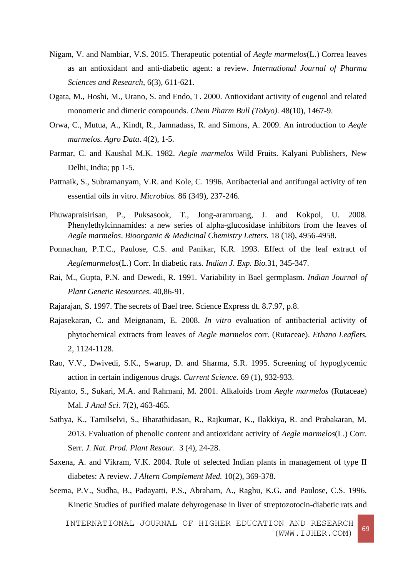- Nigam, V. and Nambiar, V.S. 2015. Therapeutic potential of *Aegle marmelos*(L.) Correa leaves as an antioxidant and anti-diabetic agent: a review. *International Journal of Pharma Sciences and Research*, 6(3), 611-621.
- Ogata, M., Hoshi, M., Urano, S. and Endo, T. 2000. Antioxidant activity of eugenol and related monomeric and dimeric compounds. *Chem Pharm Bull (Tokyo).* 48(10), 1467-9.
- Orwa, C., Mutua, A., Kindt, R., Jamnadass, R. and Simons, A. 2009. An introduction to *Aegle marmelos. Agro Data*. 4(2), 1-5.
- Parmar, C. and Kaushal M.K. 1982. *Aegle marmelos* Wild Fruits. Kalyani Publishers, New Delhi, India; pp 1-5.
- Pattnaik, S., Subramanyam, V.R. and Kole, C. 1996. Antibacterial and antifungal activity of ten essential oils in vitro. *Microbios.* 86 (349), 237-246.
- Phuwapraisirisan, P., Puksasook, T., Jong-aramruang, J. and Kokpol, U. 2008. Phenylethylcinnamides: a new series of alpha-glucosidase inhibitors from the leaves of *Aegle marmelos*. *Bioorganic & Medicinal Chemistry Letters.* 18 (18), 4956-4958.
- Ponnachan, P.T.C., Paulose, C.S. and Panikar, K.R. 1993. Effect of the leaf extract of *Aeglemarmelos*(L.) Corr. In diabetic rats. *Indian J. Exp. Bio.*31, 345-347.
- Rai, M., Gupta, P.N. and Dewedi, R. 1991. Variability in Bael germplasm. *Indian Journal of Plant Genetic Resources*. 40,86-91.
- Rajarajan, S. 1997. The secrets of Bael tree. Science Express dt. 8.7.97, p.8.
- Rajasekaran, C. and Meignanam, E. 2008. *In vitro* evaluation of antibacterial activity of phytochemical extracts from leaves of *Aegle marmelos* corr. (Rutaceae). *Ethano Leaflets.* 2, 1124-1128.
- Rao, V.V., Dwivedi, S.K., Swarup, D. and Sharma, S.R. 1995. Screening of hypoglycemic action in certain indigenous drugs. *Current Science.* 69 (1), 932-933.
- Riyanto, S., Sukari, M.A. and Rahmani, M. 2001. Alkaloids from *Aegle marmelos* (Rutaceae) Mal. *J Anal Sci.* 7(2), 463-465.
- Sathya, K., Tamilselvi, S., Bharathidasan, R., Rajkumar, K., Ilakkiya, R. and Prabakaran, M. 2013. Evaluation of phenolic content and antioxidant activity of *Aegle marmelos*(L.) Corr. Serr. *J. Nat. Prod. Plant Resour.* 3 (4), 24-28.
- Saxena, A. and Vikram, V.K. 2004. Role of selected Indian plants in management of type II diabetes: A review. *J Altern Complement Med.* 10(2), 369-378.
- Seema, P.V., Sudha, B., Padayatti, P.S., Abraham, A., Raghu, K.G. and Paulose, C.S. 1996. Kinetic Studies of purified malate dehyrogenase in liver of streptozotocin-diabetic rats and